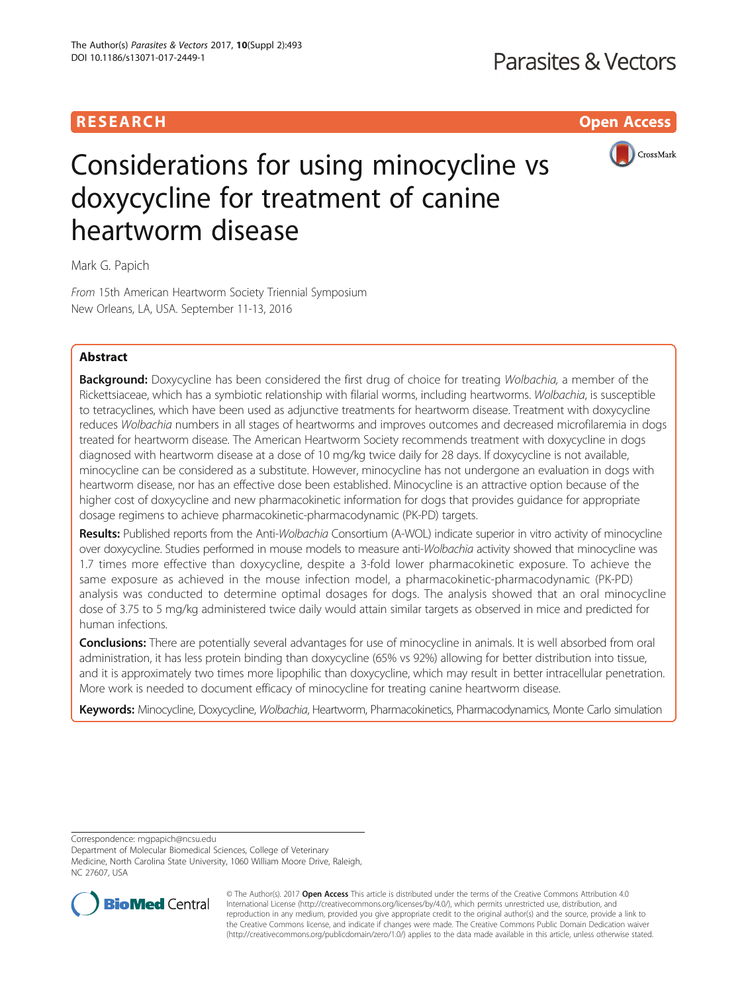## **RESEARCH CHILD CONTROL** CONTROL CONTROL CONTROL CONTROL CONTROL CONTROL CONTROL CONTROL CONTROL CONTROL CONTROL



# Considerations for using minocycline vs doxycycline for treatment of canine heartworm disease

Mark G. Papich

From 15th American Heartworm Society Triennial Symposium New Orleans, LA, USA. September 11-13, 2016

## Abstract

**Background:** Doxycycline has been considered the first drug of choice for treating Wolbachia, a member of the Rickettsiaceae, which has a symbiotic relationship with filarial worms, including heartworms. Wolbachia, is susceptible to tetracyclines, which have been used as adjunctive treatments for heartworm disease. Treatment with doxycycline reduces Wolbachia numbers in all stages of heartworms and improves outcomes and decreased microfilaremia in dogs treated for heartworm disease. The American Heartworm Society recommends treatment with doxycycline in dogs diagnosed with heartworm disease at a dose of 10 mg/kg twice daily for 28 days. If doxycycline is not available, minocycline can be considered as a substitute. However, minocycline has not undergone an evaluation in dogs with heartworm disease, nor has an effective dose been established. Minocycline is an attractive option because of the higher cost of doxycycline and new pharmacokinetic information for dogs that provides guidance for appropriate dosage regimens to achieve pharmacokinetic-pharmacodynamic (PK-PD) targets.

Results: Published reports from the Anti-Wolbachia Consortium (A-WOL) indicate superior in vitro activity of minocycline over doxycycline. Studies performed in mouse models to measure anti-Wolbachia activity showed that minocycline was 1.7 times more effective than doxycycline, despite a 3-fold lower pharmacokinetic exposure. To achieve the same exposure as achieved in the mouse infection model, a pharmacokinetic-pharmacodynamic (PK-PD) analysis was conducted to determine optimal dosages for dogs. The analysis showed that an oral minocycline dose of 3.75 to 5 mg/kg administered twice daily would attain similar targets as observed in mice and predicted for human infections.

Conclusions: There are potentially several advantages for use of minocycline in animals. It is well absorbed from oral administration, it has less protein binding than doxycycline (65% vs 92%) allowing for better distribution into tissue, and it is approximately two times more lipophilic than doxycycline, which may result in better intracellular penetration. More work is needed to document efficacy of minocycline for treating canine heartworm disease.

Keywords: Minocycline, Doxycycline, Wolbachia, Heartworm, Pharmacokinetics, Pharmacodynamics, Monte Carlo simulation

Correspondence: [mgpapich@ncsu.edu](mailto:mgpapich@ncsu.edu)

Department of Molecular Biomedical Sciences, College of Veterinary Medicine, North Carolina State University, 1060 William Moore Drive, Raleigh, NC 27607, USA



© The Author(s). 2017 **Open Access** This article is distributed under the terms of the Creative Commons Attribution 4.0 International License [\(http://creativecommons.org/licenses/by/4.0/](http://creativecommons.org/licenses/by/4.0/)), which permits unrestricted use, distribution, and reproduction in any medium, provided you give appropriate credit to the original author(s) and the source, provide a link to the Creative Commons license, and indicate if changes were made. The Creative Commons Public Domain Dedication waiver [\(http://creativecommons.org/publicdomain/zero/1.0/](http://creativecommons.org/publicdomain/zero/1.0/)) applies to the data made available in this article, unless otherwise stated.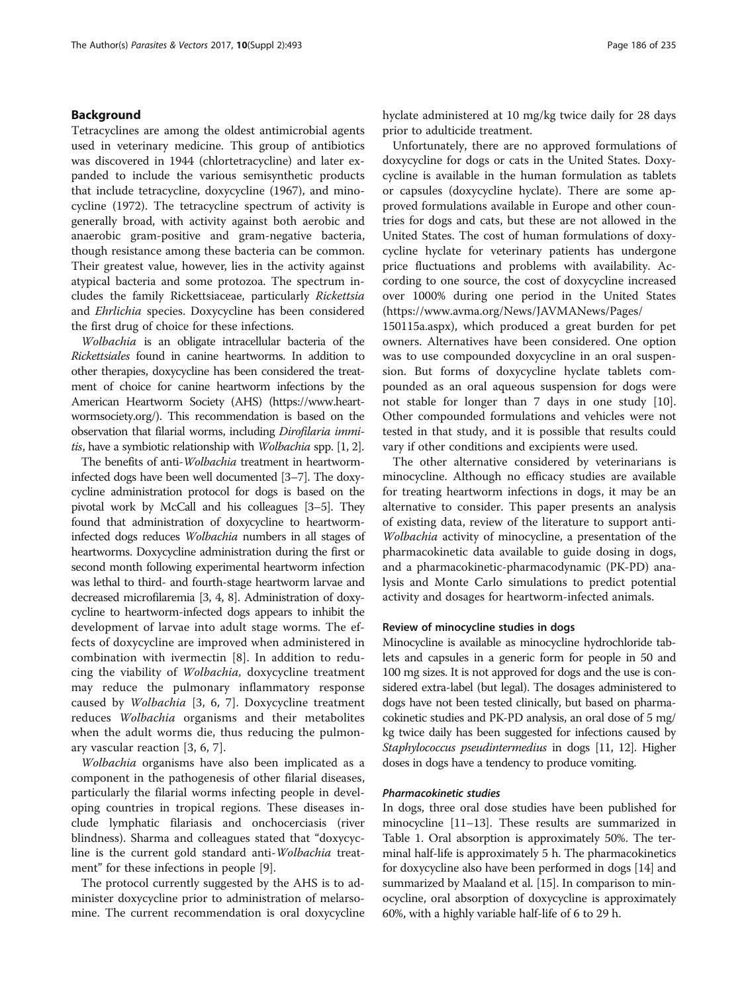## Background

Tetracyclines are among the oldest antimicrobial agents used in veterinary medicine. This group of antibiotics was discovered in 1944 (chlortetracycline) and later expanded to include the various semisynthetic products that include tetracycline, doxycycline (1967), and minocycline (1972). The tetracycline spectrum of activity is generally broad, with activity against both aerobic and anaerobic gram-positive and gram-negative bacteria, though resistance among these bacteria can be common. Their greatest value, however, lies in the activity against atypical bacteria and some protozoa. The spectrum includes the family Rickettsiaceae, particularly Rickettsia and Ehrlichia species. Doxycycline has been considered the first drug of choice for these infections.

Wolbachia is an obligate intracellular bacteria of the Rickettsiales found in canine heartworms. In addition to other therapies, doxycycline has been considered the treatment of choice for canine heartworm infections by the American Heartworm Society (AHS) [\(https://www.heart](https://www.heartwormsociety.org/)[wormsociety.org/\)](https://www.heartwormsociety.org/). This recommendation is based on the observation that filarial worms, including Dirofilaria immitis, have a symbiotic relationship with Wolbachia spp. [\[1, 2](#page-6-0)].

The benefits of anti-Wolbachia treatment in heartworminfected dogs have been well documented [[3](#page-6-0)–[7\]](#page-6-0). The doxycycline administration protocol for dogs is based on the pivotal work by McCall and his colleagues [\[3](#page-6-0)–[5](#page-6-0)]. They found that administration of doxycycline to heartworminfected dogs reduces Wolbachia numbers in all stages of heartworms. Doxycycline administration during the first or second month following experimental heartworm infection was lethal to third- and fourth-stage heartworm larvae and decreased microfilaremia [[3](#page-6-0), [4](#page-6-0), [8](#page-6-0)]. Administration of doxycycline to heartworm-infected dogs appears to inhibit the development of larvae into adult stage worms. The effects of doxycycline are improved when administered in combination with ivermectin [\[8](#page-6-0)]. In addition to reducing the viability of Wolbachia, doxycycline treatment may reduce the pulmonary inflammatory response caused by Wolbachia [\[3](#page-6-0), [6, 7\]](#page-6-0). Doxycycline treatment reduces Wolbachia organisms and their metabolites when the adult worms die, thus reducing the pulmonary vascular reaction [\[3](#page-6-0), [6](#page-6-0), [7\]](#page-6-0).

Wolbachia organisms have also been implicated as a component in the pathogenesis of other filarial diseases, particularly the filarial worms infecting people in developing countries in tropical regions. These diseases include lymphatic filariasis and onchocerciasis (river blindness). Sharma and colleagues stated that "doxycycline is the current gold standard anti-Wolbachia treatment" for these infections in people [[9\]](#page-6-0).

The protocol currently suggested by the AHS is to administer doxycycline prior to administration of melarsomine. The current recommendation is oral doxycycline hyclate administered at 10 mg/kg twice daily for 28 days prior to adulticide treatment.

Unfortunately, there are no approved formulations of doxycycline for dogs or cats in the United States. Doxycycline is available in the human formulation as tablets or capsules (doxycycline hyclate). There are some approved formulations available in Europe and other countries for dogs and cats, but these are not allowed in the United States. The cost of human formulations of doxycycline hyclate for veterinary patients has undergone price fluctuations and problems with availability. According to one source, the cost of doxycycline increased over 1000% during one period in the United States ([https://www.avma.org/News/JAVMANews/Pages/](https://www.avma.org/News/JAVMANews/Pages/150115a.aspx)

[150115a.aspx\)](https://www.avma.org/News/JAVMANews/Pages/150115a.aspx), which produced a great burden for pet owners. Alternatives have been considered. One option was to use compounded doxycycline in an oral suspension. But forms of doxycycline hyclate tablets compounded as an oral aqueous suspension for dogs were not stable for longer than 7 days in one study [\[10](#page-6-0)]. Other compounded formulations and vehicles were not tested in that study, and it is possible that results could vary if other conditions and excipients were used.

The other alternative considered by veterinarians is minocycline. Although no efficacy studies are available for treating heartworm infections in dogs, it may be an alternative to consider. This paper presents an analysis of existing data, review of the literature to support anti-Wolbachia activity of minocycline, a presentation of the pharmacokinetic data available to guide dosing in dogs, and a pharmacokinetic-pharmacodynamic (PK-PD) analysis and Monte Carlo simulations to predict potential activity and dosages for heartworm-infected animals.

## Review of minocycline studies in dogs

Minocycline is available as minocycline hydrochloride tablets and capsules in a generic form for people in 50 and 100 mg sizes. It is not approved for dogs and the use is considered extra-label (but legal). The dosages administered to dogs have not been tested clinically, but based on pharmacokinetic studies and PK-PD analysis, an oral dose of 5 mg/ kg twice daily has been suggested for infections caused by Staphylococcus pseudintermedius in dogs [\[11](#page-6-0), [12](#page-6-0)]. Higher doses in dogs have a tendency to produce vomiting.

## Pharmacokinetic studies

In dogs, three oral dose studies have been published for minocycline [[11](#page-6-0)–[13\]](#page-6-0). These results are summarized in Table [1](#page-2-0). Oral absorption is approximately 50%. The terminal half-life is approximately 5 h. The pharmacokinetics for doxycycline also have been performed in dogs [\[14\]](#page-6-0) and summarized by Maaland et al. [\[15\]](#page-6-0). In comparison to minocycline, oral absorption of doxycycline is approximately 60%, with a highly variable half-life of 6 to 29 h.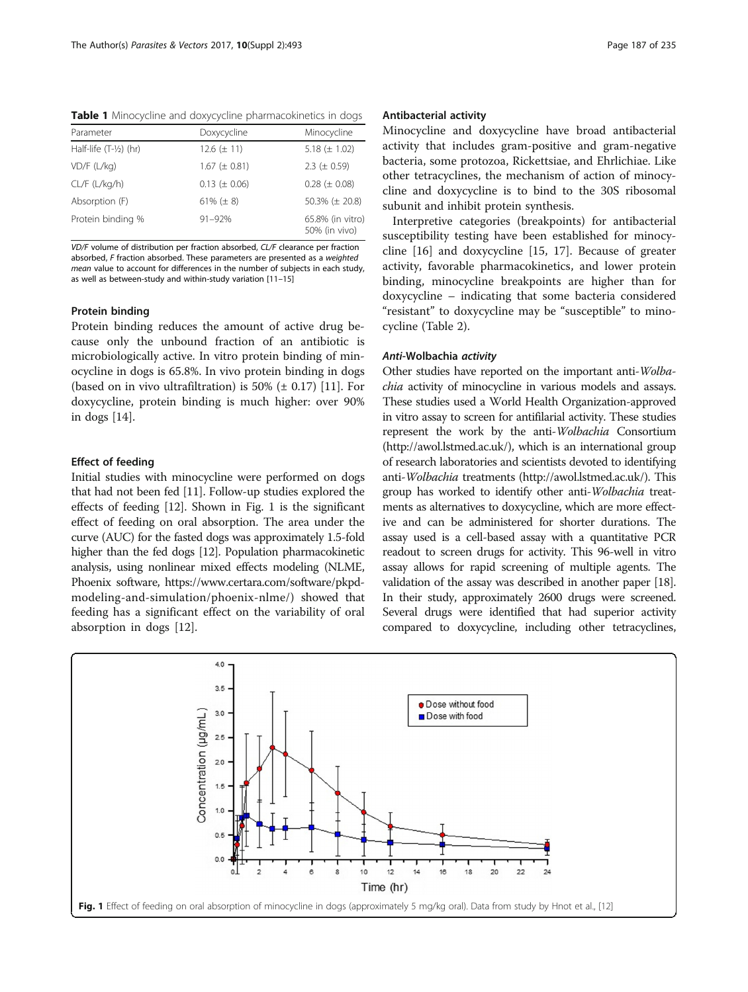<span id="page-2-0"></span>Table 1 Minocycline and doxycycline pharmacokinetics in dogs

| Parameter                | Doxycycline       | Minocycline                       |
|--------------------------|-------------------|-----------------------------------|
| Half-life $(T-1/2)$ (hr) | $12.6 (\pm 11)$   | 5.18 $(\pm 1.02)$                 |
| $VD/F$ (L/kg)            | $1.67 (\pm 0.81)$ | 2.3 ( $\pm$ 0.59)                 |
| $CL/F$ ( $L/kg/h$ )      | $0.13 (\pm 0.06)$ | $0.28 (\pm 0.08)$                 |
| Absorption (F)           | 61% $(\pm 8)$     | 50.3% ( $\pm$ 20.8)               |
| Protein binding %        | $91 - 92%$        | 65.8% (in vitro)<br>50% (in vivo) |

VD/F volume of distribution per fraction absorbed, CL/F clearance per fraction absorbed, F fraction absorbed. These parameters are presented as a weighted mean value to account for differences in the number of subjects in each study, as well as between-study and within-study variation [[11](#page-6-0)–[15](#page-6-0)]

## Protein binding

Protein binding reduces the amount of active drug because only the unbound fraction of an antibiotic is microbiologically active. In vitro protein binding of minocycline in dogs is 65.8%. In vivo protein binding in dogs (based on in vivo ultrafiltration) is 50%  $(\pm 0.17)$  [\[11](#page-6-0)]. For doxycycline, protein binding is much higher: over 90% in dogs [[14](#page-6-0)].

## Effect of feeding

Initial studies with minocycline were performed on dogs that had not been fed [[11](#page-6-0)]. Follow-up studies explored the effects of feeding [\[12\]](#page-6-0). Shown in Fig. 1 is the significant effect of feeding on oral absorption. The area under the curve (AUC) for the fasted dogs was approximately 1.5-fold higher than the fed dogs [\[12\]](#page-6-0). Population pharmacokinetic analysis, using nonlinear mixed effects modeling (NLME, Phoenix software, [https://www.certara.com/software/pkpd](https://www.certara.com/software/pkpd-modeling-and-simulation/phoenix-nlme/)[modeling-and-simulation/phoenix-nlme/](https://www.certara.com/software/pkpd-modeling-and-simulation/phoenix-nlme/)) showed that feeding has a significant effect on the variability of oral absorption in dogs [\[12\]](#page-6-0).

## Antibacterial activity

Minocycline and doxycycline have broad antibacterial activity that includes gram-positive and gram-negative bacteria, some protozoa, Rickettsiae, and Ehrlichiae. Like other tetracyclines, the mechanism of action of minocycline and doxycycline is to bind to the 30S ribosomal subunit and inhibit protein synthesis.

Interpretive categories (breakpoints) for antibacterial susceptibility testing have been established for minocycline [[16\]](#page-6-0) and doxycycline [\[15](#page-6-0), [17\]](#page-6-0). Because of greater activity, favorable pharmacokinetics, and lower protein binding, minocycline breakpoints are higher than for doxycycline – indicating that some bacteria considered "resistant" to doxycycline may be "susceptible" to minocycline (Table [2\)](#page-3-0).

### Anti-Wolbachia activity

Other studies have reported on the important anti-Wolbachia activity of minocycline in various models and assays. These studies used a World Health Organization-approved in vitro assay to screen for antifilarial activity. These studies represent the work by the anti-Wolbachia Consortium (<http://awol.lstmed.ac.uk/>), which is an international group of research laboratories and scientists devoted to identifying anti-Wolbachia treatments [\(http://awol.lstmed.ac.uk/](http://awol.lstmed.ac.uk/)). This group has worked to identify other anti-Wolbachia treatments as alternatives to doxycycline, which are more effective and can be administered for shorter durations. The assay used is a cell-based assay with a quantitative PCR readout to screen drugs for activity. This 96-well in vitro assay allows for rapid screening of multiple agents. The validation of the assay was described in another paper [\[18](#page-6-0)]. In their study, approximately 2600 drugs were screened. Several drugs were identified that had superior activity compared to doxycycline, including other tetracyclines,

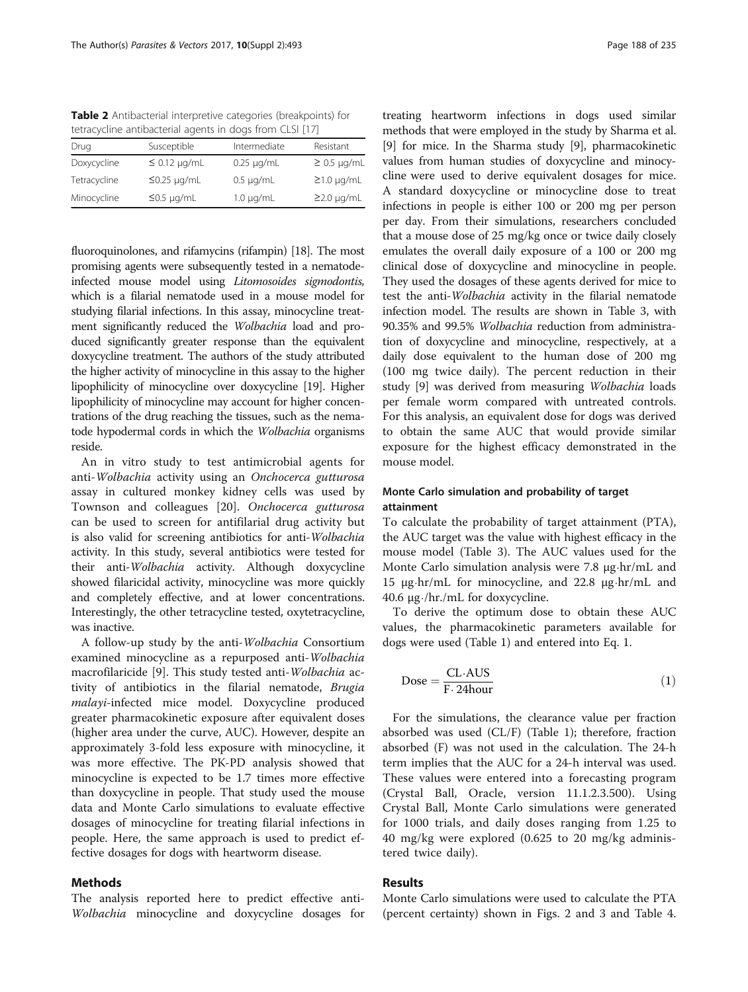<span id="page-3-0"></span>Table 2 Antibacterial interpretive categories (breakpoints) for tetracycline antibacterial agents in dogs from CLSI [\[17\]](#page-6-0)

| Drug         | Susceptible       | Intermediate    | Resistant        |
|--------------|-------------------|-----------------|------------------|
| Doxycycline  | $\leq$ 0.12 µg/mL | $0.25 \mu g/mL$ | $\geq$ 0.5 µg/mL |
| Tetracycline | $\leq$ 0.25 µg/mL | $0.5 \mu q/mL$  | $\geq$ 1.0 µg/mL |
| Minocycline  | $\leq$ 0.5 µg/mL  | $1.0 \mu q/mL$  | $\geq$ 2.0 µg/mL |

fluoroquinolones, and rifamycins (rifampin) [[18](#page-6-0)]. The most promising agents were subsequently tested in a nematodeinfected mouse model using Litomosoides sigmodontis, which is a filarial nematode used in a mouse model for studying filarial infections. In this assay, minocycline treatment significantly reduced the Wolbachia load and produced significantly greater response than the equivalent doxycycline treatment. The authors of the study attributed the higher activity of minocycline in this assay to the higher lipophilicity of minocycline over doxycycline [[19\]](#page-6-0). Higher lipophilicity of minocycline may account for higher concentrations of the drug reaching the tissues, such as the nematode hypodermal cords in which the Wolbachia organisms reside.

An in vitro study to test antimicrobial agents for anti-Wolbachia activity using an Onchocerca gutturosa assay in cultured monkey kidney cells was used by Townson and colleagues [[20\]](#page-6-0). Onchocerca gutturosa can be used to screen for antifilarial drug activity but is also valid for screening antibiotics for anti-Wolbachia activity. In this study, several antibiotics were tested for their anti-Wolbachia activity. Although doxycycline showed filaricidal activity, minocycline was more quickly and completely effective, and at lower concentrations. Interestingly, the other tetracycline tested, oxytetracycline, was inactive.

A follow-up study by the anti-Wolbachia Consortium examined minocycline as a repurposed anti-Wolbachia macrofilaricide [\[9](#page-6-0)]. This study tested anti-Wolbachia activity of antibiotics in the filarial nematode, Brugia malayi-infected mice model. Doxycycline produced greater pharmacokinetic exposure after equivalent doses (higher area under the curve, AUC). However, despite an approximately 3-fold less exposure with minocycline, it was more effective. The PK-PD analysis showed that minocycline is expected to be 1.7 times more effective than doxycycline in people. That study used the mouse data and Monte Carlo simulations to evaluate effective dosages of minocycline for treating filarial infections in people. Here, the same approach is used to predict effective dosages for dogs with heartworm disease.

## Methods

The analysis reported here to predict effective anti-Wolbachia minocycline and doxycycline dosages for

treating heartworm infections in dogs used similar methods that were employed in the study by Sharma et al. [[9\]](#page-6-0) for mice. In the Sharma study [\[9\]](#page-6-0), pharmacokinetic values from human studies of doxycycline and minocycline were used to derive equivalent dosages for mice. A standard doxycycline or minocycline dose to treat infections in people is either 100 or 200 mg per person per day. From their simulations, researchers concluded that a mouse dose of 25 mg/kg once or twice daily closely emulates the overall daily exposure of a 100 or 200 mg clinical dose of doxycycline and minocycline in people. They used the dosages of these agents derived for mice to test the anti-Wolbachia activity in the filarial nematode infection model. The results are shown in Table [3,](#page-4-0) with 90.35% and 99.5% Wolbachia reduction from administration of doxycycline and minocycline, respectively, at a daily dose equivalent to the human dose of 200 mg (100 mg twice daily). The percent reduction in their study [[9\]](#page-6-0) was derived from measuring Wolbachia loads per female worm compared with untreated controls. For this analysis, an equivalent dose for dogs was derived to obtain the same AUC that would provide similar exposure for the highest efficacy demonstrated in the mouse model.

## Monte Carlo simulation and probability of target attainment

To calculate the probability of target attainment (PTA), the AUC target was the value with highest efficacy in the mouse model (Table [3](#page-4-0)). The AUC values used for the Monte Carlo simulation analysis were 7.8 μg⋅hr/mL and 15 μg⋅hr/mL for minocycline, and 22.8 μg⋅hr/mL and 40.6 μg⋅/hr./mL for doxycycline.

To derive the optimum dose to obtain these AUC values, the pharmacokinetic parameters available for dogs were used (Table [1\)](#page-2-0) and entered into Eq. 1.

$$
Dose = \frac{CL \cdot AUS}{F \cdot 24 hour}
$$
 (1)

For the simulations, the clearance value per fraction absorbed was used (CL/F) (Table [1](#page-2-0)); therefore, fraction absorbed (F) was not used in the calculation. The 24-h term implies that the AUC for a 24-h interval was used. These values were entered into a forecasting program (Crystal Ball, Oracle, version 11.1.2.3.500). Using Crystal Ball, Monte Carlo simulations were generated for 1000 trials, and daily doses ranging from 1.25 to 40 mg/kg were explored (0.625 to 20 mg/kg administered twice daily).

## Results

Monte Carlo simulations were used to calculate the PTA (percent certainty) shown in Figs. [2](#page-4-0) and [3](#page-5-0) and Table [4](#page-5-0).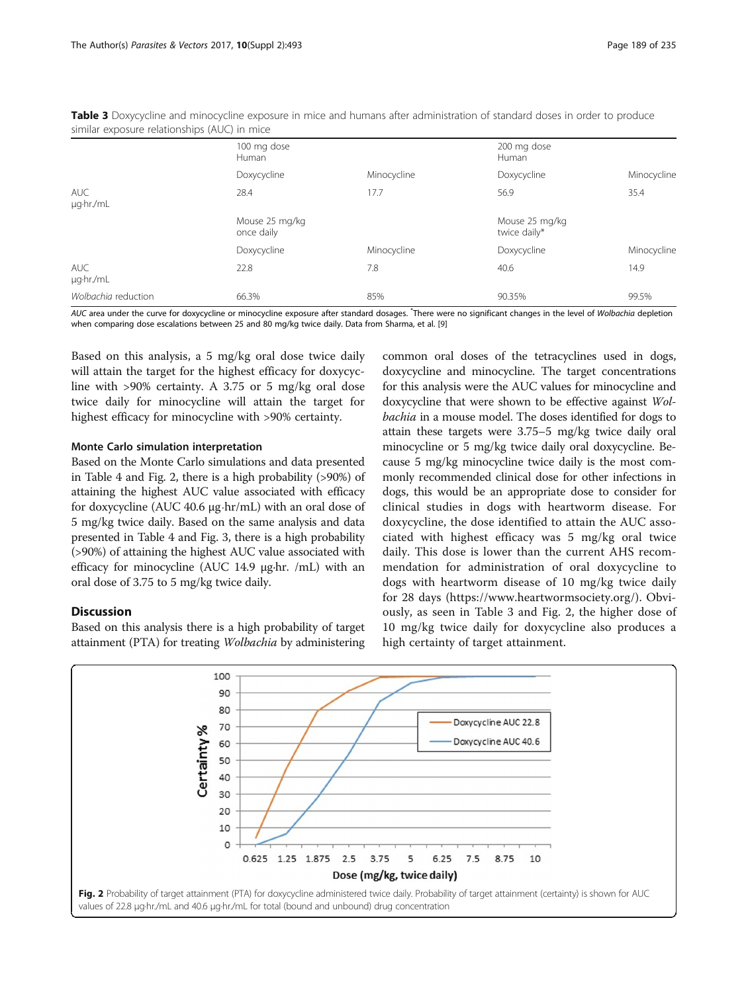|                         | 100 mg dose<br>Human         |             | 200 mg dose<br>Human           |             |  |
|-------------------------|------------------------------|-------------|--------------------------------|-------------|--|
|                         | Doxycycline                  | Minocycline | Doxycycline                    | Minocycline |  |
| <b>AUC</b><br>µg·hr./mL | 28.4                         | 17.7        | 56.9                           | 35.4        |  |
|                         | Mouse 25 mg/kg<br>once daily |             | Mouse 25 mg/kg<br>twice daily* |             |  |
|                         | Doxycycline                  | Minocycline | Doxycycline                    | Minocycline |  |
| <b>AUC</b><br>µg.hr./mL | 22.8                         | 7.8         | 40.6                           | 14.9        |  |
| Wolbachia reduction     | 66.3%                        | 85%         | 90.35%                         | 99.5%       |  |

<span id="page-4-0"></span>Table 3 Doxycycline and minocycline exposure in mice and humans after administration of standard doses in order to produce similar exposure relationships (AUC) in mice

AUC area under the curve for doxycycline or minocycline exposure after standard dosages. <sup>\*</sup>There were no significant changes in the level of Wolbachia depletion when comparing dose escalations between 25 and 80 mg/kg twice daily. Data from Sharma, et al. [[9](#page-6-0)]

Based on this analysis, a 5 mg/kg oral dose twice daily will attain the target for the highest efficacy for doxycycline with >90% certainty. A 3.75 or 5 mg/kg oral dose twice daily for minocycline will attain the target for highest efficacy for minocycline with >90% certainty.

## Monte Carlo simulation interpretation

Based on the Monte Carlo simulations and data presented in Table [4](#page-5-0) and Fig. 2, there is a high probability (>90%) of attaining the highest AUC value associated with efficacy for doxycycline (AUC 40.6 μg⋅hr/mL) with an oral dose of 5 mg/kg twice daily. Based on the same analysis and data presented in Table [4](#page-5-0) and Fig. [3,](#page-5-0) there is a high probability (>90%) of attaining the highest AUC value associated with efficacy for minocycline (AUC 14.9 μg·hr. /mL) with an oral dose of 3.75 to 5 mg/kg twice daily.

## **Discussion**

Based on this analysis there is a high probability of target attainment (PTA) for treating Wolbachia by administering

common oral doses of the tetracyclines used in dogs, doxycycline and minocycline. The target concentrations for this analysis were the AUC values for minocycline and doxycycline that were shown to be effective against Wolbachia in a mouse model. The doses identified for dogs to attain these targets were 3.75–5 mg/kg twice daily oral minocycline or 5 mg/kg twice daily oral doxycycline. Because 5 mg/kg minocycline twice daily is the most commonly recommended clinical dose for other infections in dogs, this would be an appropriate dose to consider for clinical studies in dogs with heartworm disease. For doxycycline, the dose identified to attain the AUC associated with highest efficacy was 5 mg/kg oral twice daily. This dose is lower than the current AHS recommendation for administration of oral doxycycline to dogs with heartworm disease of 10 mg/kg twice daily for 28 days [\(https://www.heartwormsociety.org/\)](https://www.heartwormsociety.org/). Obviously, as seen in Table 3 and Fig. 2, the higher dose of 10 mg/kg twice daily for doxycycline also produces a high certainty of target attainment.

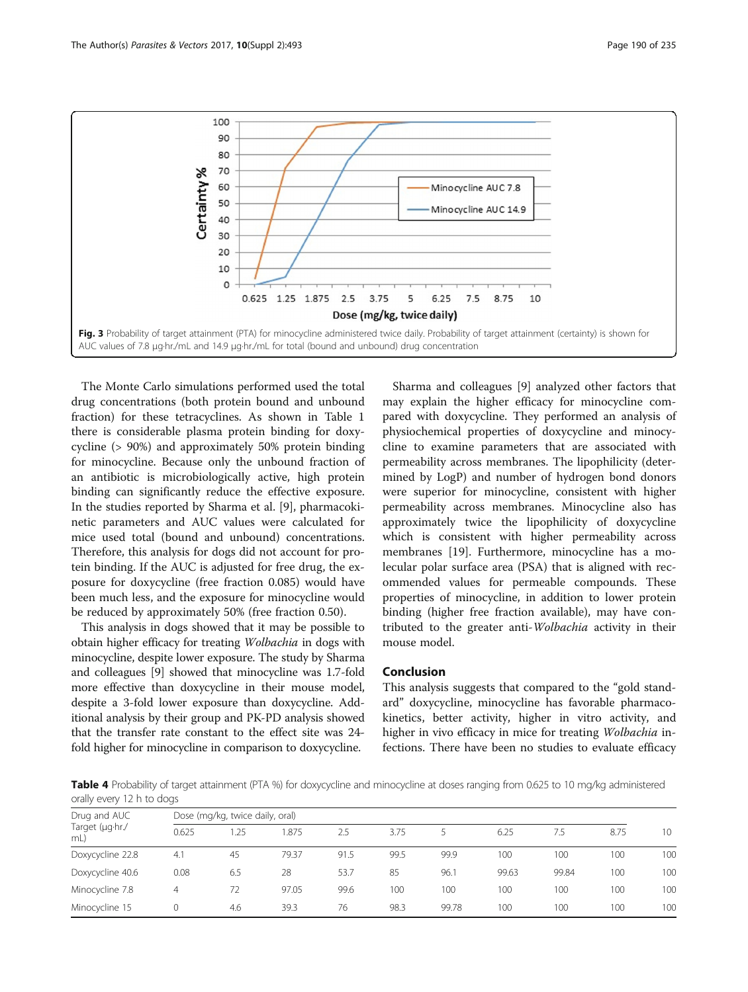<span id="page-5-0"></span>

The Monte Carlo simulations performed used the total drug concentrations (both protein bound and unbound fraction) for these tetracyclines. As shown in Table [1](#page-2-0) there is considerable plasma protein binding for doxycycline (> 90%) and approximately 50% protein binding for minocycline. Because only the unbound fraction of an antibiotic is microbiologically active, high protein binding can significantly reduce the effective exposure. In the studies reported by Sharma et al. [[9\]](#page-6-0), pharmacokinetic parameters and AUC values were calculated for mice used total (bound and unbound) concentrations. Therefore, this analysis for dogs did not account for protein binding. If the AUC is adjusted for free drug, the exposure for doxycycline (free fraction 0.085) would have been much less, and the exposure for minocycline would be reduced by approximately 50% (free fraction 0.50).

This analysis in dogs showed that it may be possible to obtain higher efficacy for treating Wolbachia in dogs with minocycline, despite lower exposure. The study by Sharma and colleagues [\[9](#page-6-0)] showed that minocycline was 1.7-fold more effective than doxycycline in their mouse model, despite a 3-fold lower exposure than doxycycline. Additional analysis by their group and PK-PD analysis showed that the transfer rate constant to the effect site was 24 fold higher for minocycline in comparison to doxycycline.

Sharma and colleagues [[9\]](#page-6-0) analyzed other factors that may explain the higher efficacy for minocycline compared with doxycycline. They performed an analysis of physiochemical properties of doxycycline and minocycline to examine parameters that are associated with permeability across membranes. The lipophilicity (determined by LogP) and number of hydrogen bond donors were superior for minocycline, consistent with higher permeability across membranes. Minocycline also has approximately twice the lipophilicity of doxycycline which is consistent with higher permeability across membranes [\[19](#page-6-0)]. Furthermore, minocycline has a molecular polar surface area (PSA) that is aligned with recommended values for permeable compounds. These properties of minocycline, in addition to lower protein binding (higher free fraction available), may have contributed to the greater anti-Wolbachia activity in their mouse model.

## Conclusion

This analysis suggests that compared to the "gold standard" doxycycline, minocycline has favorable pharmacokinetics, better activity, higher in vitro activity, and higher in vivo efficacy in mice for treating Wolbachia infections. There have been no studies to evaluate efficacy

Table 4 Probability of target attainment (PTA %) for doxycycline and minocycline at doses ranging from 0.625 to 10 mg/kg administered orally every 12 h to dogs

| Drug and AUC<br>Target (µg·hr./<br>mL | Dose (mg/kg, twice daily, oral) |     |       |      |      |       |       |       |      |                 |
|---------------------------------------|---------------------------------|-----|-------|------|------|-------|-------|-------|------|-----------------|
|                                       | 0.625                           | .25 | .875  | 2.5  | 3.75 |       | 6.25  | 7.5   | 8.75 | 10 <sup>°</sup> |
| Doxycycline 22.8                      | 4.1                             | 45  | 79.37 | 91.5 | 99.5 | 99.9  | 100   | 100   | 100  | 100             |
| Doxycycline 40.6                      | 0.08                            | 6.5 | 28    | 53.7 | 85   | 96.1  | 99.63 | 99.84 | 100  | 100             |
| Minocycline 7.8                       | 4                               | 72  | 97.05 | 99.6 | 100  | 100   | 100   | 100   | 100  | 100             |
| Minocycline 15                        | 0                               | 4.6 | 39.3  | 76   | 98.3 | 99.78 | 100   | 100   | 100  | 100             |